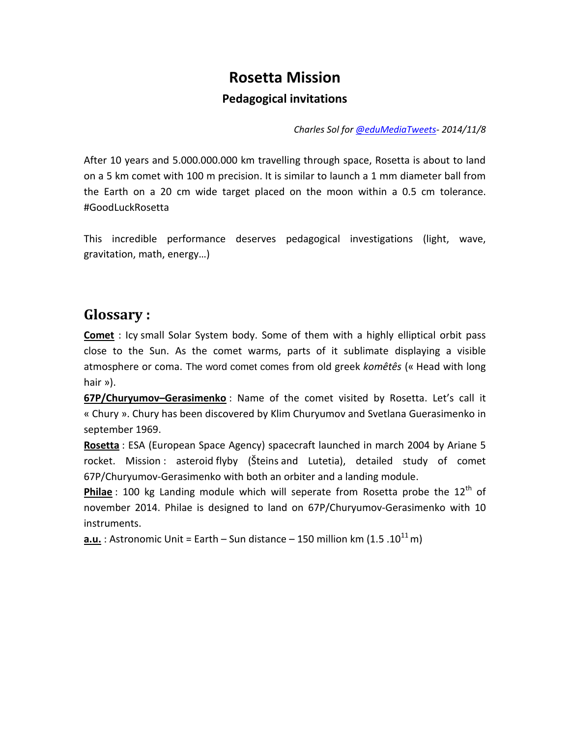# **Rosetta Mission Pedagogical invitations**

*Charles Sol for [@eduMediaTweets-](https://twitter.com/eduMediaTweets) 2014/11/8*

After 10 years and 5.000.000.000 km travelling through space, Rosetta is about to land on a 5 km comet with 100 m precision. It is similar to launch a 1 mm diameter ball from the Earth on a 20 cm wide target placed on the moon within a 0.5 cm tolerance. #GoodLuckRosetta

This incredible performance deserves pedagogical investigations (light, wave, gravitation, math, energy…)

### **Glossary :**

**Comet** : Icy [small Solar System body.](http://en.wikipedia.org/wiki/Small_Solar_System_body) Some of them with a highly elliptical orbit pass close to the Sun. As the comet warms, parts of it sublimate displaying a visible atmosphere or coma. The word comet comes from old greek *komêtês* (« Head with long hair »).

**67P/Churyumov–Gerasimenko** : Name of the comet visited by Rosetta. Let's call it « Chury ». Chury has been discovered by Klim Churyumov and Svetlana Guerasimenko in september 1969.

**Rosetta** : ESA (European Space Agency) spacecraft launched in march 2004 by Ariane 5 rocket. Mission : [asteroid](http://en.wikipedia.org/wiki/Asteroid) flyby (Šteins and Lutetia), detailed study of comet 67P/Churyumov-Gerasimenko with both an orbiter and a landing module.

**Philae** : 100 kg Landing module which will seperate from Rosetta probe the 12<sup>th</sup> of november 2014. Philae is designed to land on 67P/Churyumov-Gerasimenko with 10 instruments.

**a.u.** : Astronomic Unit = Earth – Sun distance – 150 million km (1.5 .10<sup>11</sup> m)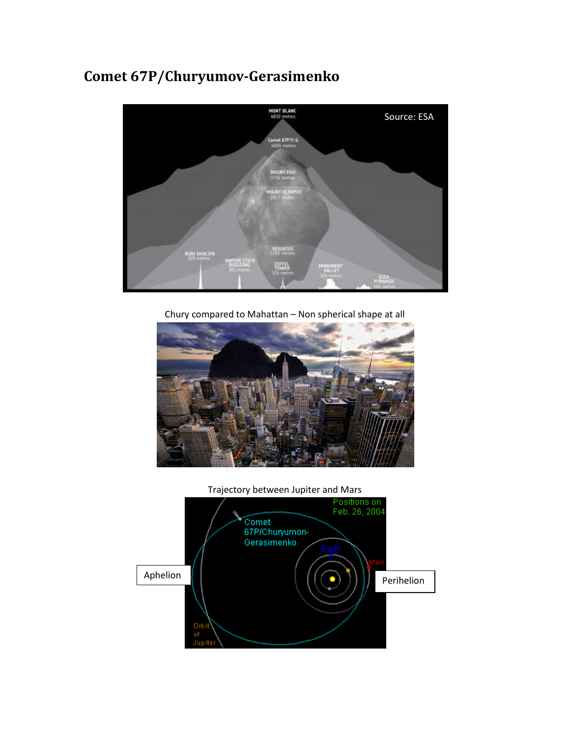# **Comet 67P/Churyumov-Gerasimenko**



Chury compared to Mahattan – Non spherical shape at all





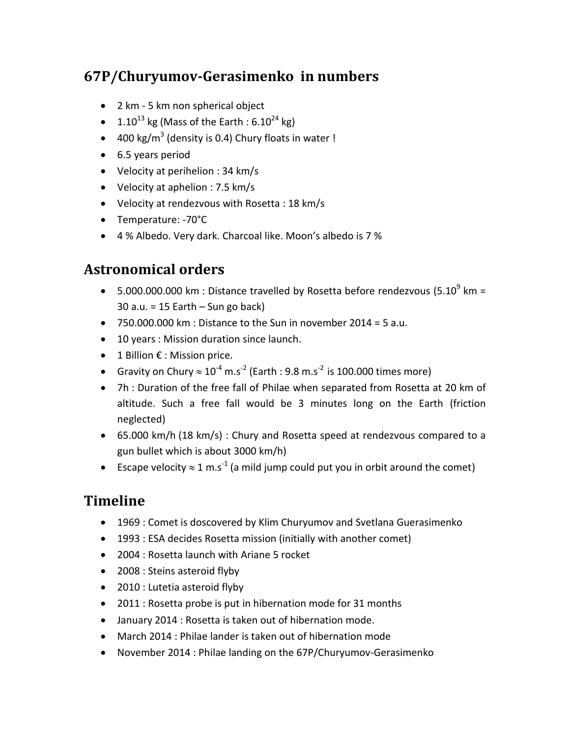## **67P/Churyumov-Gerasimenko in numbers**

- 2 km 5 km non spherical object
- 1.10<sup>13</sup> kg (Mass of the Earth : 6.10<sup>24</sup> kg)
- 400 kg/m<sup>3</sup> (density is 0.4) Chury floats in water !
- 6.5 years period
- Velocity at perihelion : 34 km/s
- Velocity at aphelion : 7.5 km/s
- Velocity at rendezvous with Rosetta : 18 km/s
- Temperature: -70°C
- 4 % Albedo. Very dark. Charcoal like. Moon's albedo is 7 %

## **Astronomical orders**

- 5.000.000.000 km : Distance travelled by Rosetta before rendezvous (5.10 $^9$  km =  $30$  a.u. = 15 Earth – Sun go back)
- 750.000.000 km : Distance to the Sun in november 2014 = 5 a.u.
- 10 years : Mission duration since launch.
- 1 Billion € : Mission price.
- Gravity on Chury  $\approx 10^{-4}$  m.s<sup>-2</sup> (Earth : 9.8 m.s<sup>-2</sup> is 100.000 times more)
- 7h : Duration of the free fall of Philae when separated from Rosetta at 20 km of altitude. Such a free fall would be 3 minutes long on the Earth (friction neglected)
- 65.000 km/h (18 km/s) : Chury and Rosetta speed at rendezvous compared to a gun bullet which is about 3000 km/h)
- Escape velocity  $\approx 1 \text{ m.s}^{-1}$  (a mild jump could put you in orbit around the comet)

### **Timeline**

- 1969 : Comet is doscovered by Klim Churyumov and Svetlana Guerasimenko
- 1993 : ESA decides Rosetta mission (initially with another comet)
- 2004 : Rosetta launch with Ariane 5 rocket
- 2008 : Steins asteroid flyby
- 2010 : Lutetia asteroid flyby
- 2011 : Rosetta probe is put in hibernation mode for 31 months
- January 2014 : Rosetta is taken out of hibernation mode.
- March 2014 : Philae lander is taken out of hibernation mode
- November 2014 : Philae landing on the 67P/Churyumov-Gerasimenko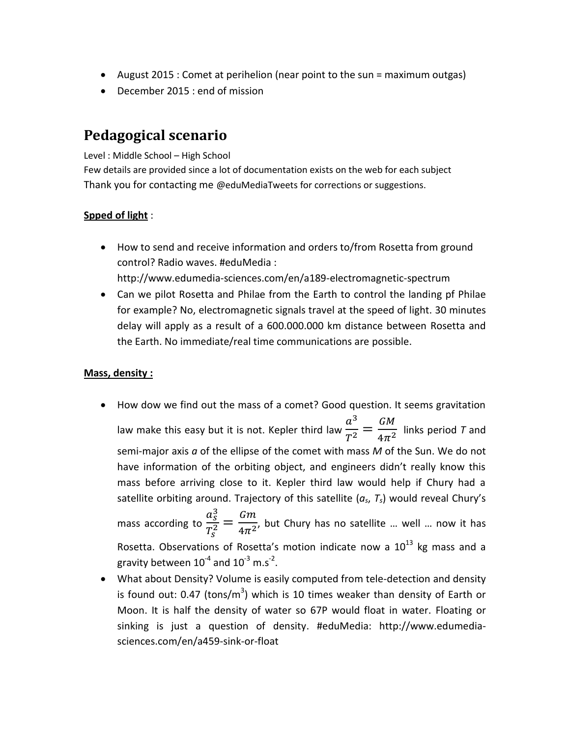- August 2015 : Comet at perihelion (near point to the sun = maximum outgas)
- December 2015 : end of mission

## **Pedagogical scenario**

Level : Middle School – High School

Few details are provided since a lot of documentation exists on the web for each subject Thank you for contacting me @eduMediaTweets for corrections or suggestions.

### **Spped of light** :

 How to send and receive information and orders to/from Rosetta from ground control? Radio waves. #eduMedia :

http://www.edumedia-sciences.com/en/a189-electromagnetic-spectrum

 Can we pilot Rosetta and Philae from the Earth to control the landing pf Philae for example? No, electromagnetic signals travel at the speed of light. 30 minutes delay will apply as a result of a 600.000.000 km distance between Rosetta and the Earth. No immediate/real time communications are possible.

### **Mass, density :**

- How dow we find out the mass of a comet? Good question. It seems gravitation law make this easy but it is not. Kepler third law  $a^3$  $\overline{T}$ G  $\frac{1}{4\pi^2}$  links period *T* and semi-major axis *a* of the ellipse of the comet with mass *M* of the Sun. We do not have information of the orbiting object, and engineers didn't really know this mass before arriving close to it. Kepler third law would help if Chury had a satellite orbiting around. Trajectory of this satellite (*as*, *Ts*) would reveal Chury's mass according to  $a_s^3$  $\overline{T_S^2}$ G  $\overline{4\pi^2}$ , but Chury has no satellite … well … now it has Rosetta. Observations of Rosetta's motion indicate now a  $10^{13}$  kg mass and a gravity between  $10^{-4}$  and  $10^{-3}$  m.s<sup>-2</sup>.
- What about Density? Volume is easily computed from tele-detection and density is found out: 0.47 (tons/m<sup>3</sup>) which is 10 times weaker than density of Earth or Moon. It is half the density of water so 67P would float in water. Floating or sinking is just a question of density. #eduMedia: http://www.edumediasciences.com/en/a459-sink-or-float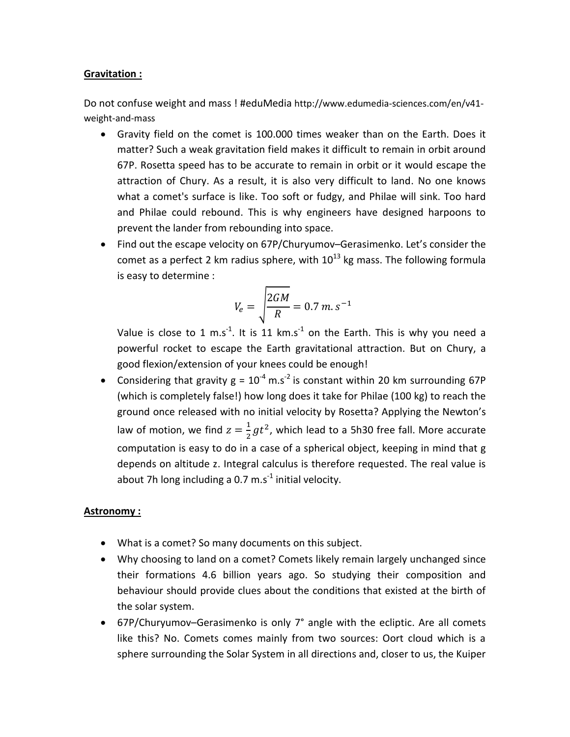#### **Gravitation :**

Do not confuse weight and mass ! #eduMedia http://www.edumedia-sciences.com/en/v41 weight-and-mass

- Gravity field on the comet is 100.000 times weaker than on the Earth. Does it matter? Such a weak gravitation field makes it difficult to remain in orbit around 67P. Rosetta speed has to be accurate to remain in orbit or it would escape the attraction of Chury. As a result, it is also very difficult to land. No one knows what a comet's surface is like. Too soft or fudgy, and Philae will sink. Too hard and Philae could rebound. This is why engineers have designed harpoons to prevent the lander from rebounding into space.
- Find out the escape velocity on 67P/Churyumov–Gerasimenko. Let's consider the comet as a perfect 2 km radius sphere, with  $10^{13}$  kg mass. The following formula is easy to determine :

$$
V_e = \sqrt{\frac{2GM}{R}} = 0.7 \ m. \ s^{-1}
$$

Value is close to 1 m.s<sup>-1</sup>. It is 11 km.s<sup>-1</sup> on the Earth. This is why you need a powerful rocket to escape the Earth gravitational attraction. But on Chury, a good flexion/extension of your knees could be enough!

• Considering that gravity  $g = 10^{-4}$  m.s<sup>-2</sup> is constant within 20 km surrounding 67P (which is completely false!) how long does it take for Philae (100 kg) to reach the ground once released with no initial velocity by Rosetta? Applying the Newton's law of motion, we find  $z=\frac{1}{2}$  $\frac{1}{2}gt^2$ , which lead to a 5h30 free fall. More accurate computation is easy to do in a case of a spherical object, keeping in mind that g depends on altitude z. Integral calculus is therefore requested. The real value is about 7h long including a 0.7  $\text{m.s}^{\text{-1}}$  initial velocity.

#### **Astronomy :**

- What is a comet? So many documents on this subject.
- Why choosing to land on a comet? Comets likely remain largely unchanged since their formations 4.6 billion years ago. So studying their composition and behaviour should provide clues about the conditions that existed at the birth of the solar system.
- 67P/Churyumov–Gerasimenko is only 7° angle with the ecliptic. Are all comets like this? No. Comets comes mainly from two sources: Oort cloud which is a sphere surrounding the Solar System in all directions and, closer to us, the Kuiper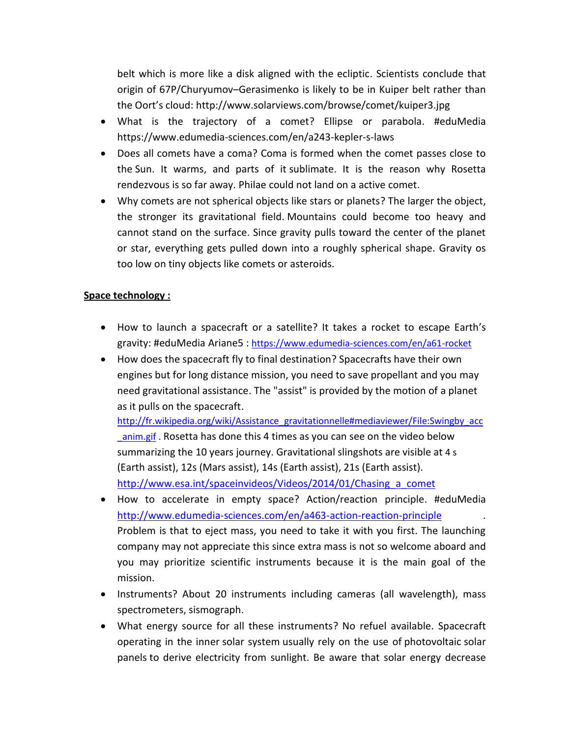belt which is more like a disk aligned with the ecliptic. Scientists conclude that origin of 67P/Churyumov–Gerasimenko is likely to be in Kuiper belt rather than the Oort's cloud: http://www.solarviews.com/browse/comet/kuiper3.jpg

- What is the trajectory of a comet? Ellipse or parabola. #eduMedia https://www.edumedia-sciences.com/en/a243-kepler-s-laws
- Does all comets have a coma? Coma is formed when the comet passes close to the [Sun.](http://en.wikipedia.org/wiki/Sun) It warms, and parts of it [sublimate.](http://en.wikipedia.org/wiki/Sublimation_(chemistry)) It is the reason why Rosetta rendezvous is so far away. Philae could not land on a active comet.
- Why comets are not spherical objects like stars or planets? The larger the object, the stronger its gravitational field. Mountains could become too heavy and cannot stand on the surface. Since gravity pulls toward the center of the planet or star, everything gets pulled down into a roughly spherical shape. Gravity os too low on tiny objects like comets or asteroids.

#### **Space technology :**

- How to launch a spacecraft or a satellite? It takes a rocket to escape Earth's gravity: #eduMedia Ariane5 : <https://www.edumedia-sciences.com/en/a61-rocket>
- How does the spacecraft fly to final destination? Spacecrafts have their own engines but for long distance mission, you need to save propellant and you may need gravitational assistance. The "assist" is provided by the motion of a planet as it pulls on the spacecraft.

[http://fr.wikipedia.org/wiki/Assistance\\_gravitationnelle#mediaviewer/File:Swingby\\_acc](http://fr.wikipedia.org/wiki/Assistance_gravitationnelle#mediaviewer/File:Swingby_acc_anim.gif) anim.gif . Rosetta has done this 4 times as you can see on the video below summarizing the 10 years journey. Gravitational slingshots are visible at 4 s (Earth assist), 12s (Mars assist), 14s (Earth assist), 21s (Earth assist). http://www.esa.int/spaceinvideos/Videos/2014/01/Chasing a comet

- How to accelerate in empty space? Action/reaction principle. #eduMedia <http://www.edumedia-sciences.com/en/a463-action-reaction-principle> . Problem is that to eject mass, you need to take it with you first. The launching company may not appreciate this since extra mass is not so welcome aboard and you may prioritize scientific instruments because it is the main goal of the mission.
- Instruments? About 20 instruments including cameras (all wavelength), mass spectrometers, sismograph.
- What energy source for all these instruments? No refuel available. Spacecraft operating in the inner [solar system](http://en.wikipedia.org/wiki/Solar_system) usually rely on the use of [photovoltaic](http://en.wikipedia.org/wiki/Photovoltaic) [solar](http://en.wikipedia.org/wiki/Photovoltaic_module)  [panels](http://en.wikipedia.org/wiki/Photovoltaic_module) to derive electricity from [sunlight.](http://en.wikipedia.org/wiki/Sunlight) Be aware that solar energy decrease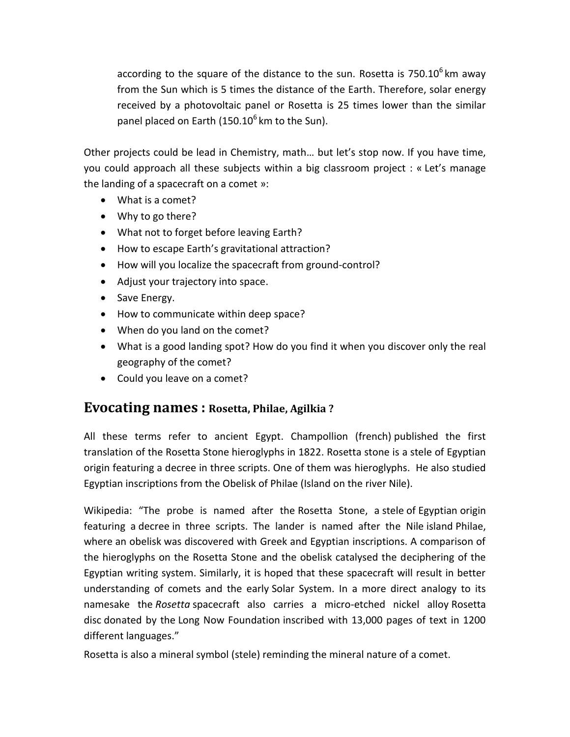according to the square of the distance to the sun. Rosetta is 750.10<sup>6</sup> km away from the Sun which is 5 times the distance of the Earth. Therefore, solar energy received by a photovoltaic panel or Rosetta is 25 times lower than the similar panel placed on Earth (150.10<sup>6</sup> km to the Sun).

Other projects could be lead in Chemistry, math… but let's stop now. If you have time, you could approach all these subjects within a big classroom project : « Let's manage the landing of a spacecraft on a comet »:

- What is a comet?
- Why to go there?
- What not to forget before leaving Earth?
- How to escape Earth's gravitational attraction?
- How will you localize the spacecraft from ground-control?
- Adjust your trajectory into space.
- Save Energy.
- How to communicate within deep space?
- When do you land on the comet?
- What is a good landing spot? How do you find it when you discover only the real geography of the comet?
- Could you leave on a comet?

### **Evocating names : Rosetta, Philae, Agilkia ?**

All these terms refer to ancient Egypt. Champollion (french) published the first translation of the [Rosetta Stone](http://en.wikipedia.org/wiki/Rosetta_Stone) hieroglyphs in 1822. Rosetta stone is a stele of Egyptian origin featuring a decree in three scripts. One of them was hieroglyphs. He also studied Egyptian inscriptions from the Obelisk of Philae (Island on the river Nile).

Wikipedia: "The probe is named after the [Rosetta Stone,](http://en.wikipedia.org/wiki/Rosetta_Stone) a [stele](http://en.wikipedia.org/wiki/Stele) of [Egyptian](http://en.wikipedia.org/wiki/Ancient_Egypt) origin featuring a [decree](http://en.wikipedia.org/wiki/Decree) in three scripts. The lander is named after the [Nile](http://en.wikipedia.org/wiki/Nile) island [Philae,](http://en.wikipedia.org/wiki/Philae) where [an obelisk](http://en.wikipedia.org/wiki/Philae_obelisk) was discovered with Greek and Egyptian inscriptions. A comparison of the hieroglyphs on the Rosetta Stone and the obelisk catalysed the deciphering of the Egyptian writing system. Similarly, it is hoped that these spacecraft will result in better understanding of comets and the early [Solar System.](http://en.wikipedia.org/wiki/Solar_System) In a more direct analogy to its namesake the *Rosetta* spacecraft also carries a micro-etched nickel alloy [Rosetta](http://en.wikipedia.org/wiki/Rosetta_Project)  [disc](http://en.wikipedia.org/wiki/Rosetta_Project) donated by the [Long Now Foundation](http://en.wikipedia.org/wiki/Long_Now_Foundation) inscribed with 13,000 pages of text in 1200 different languages."

Rosetta is also a mineral symbol (stele) reminding the mineral nature of a comet.